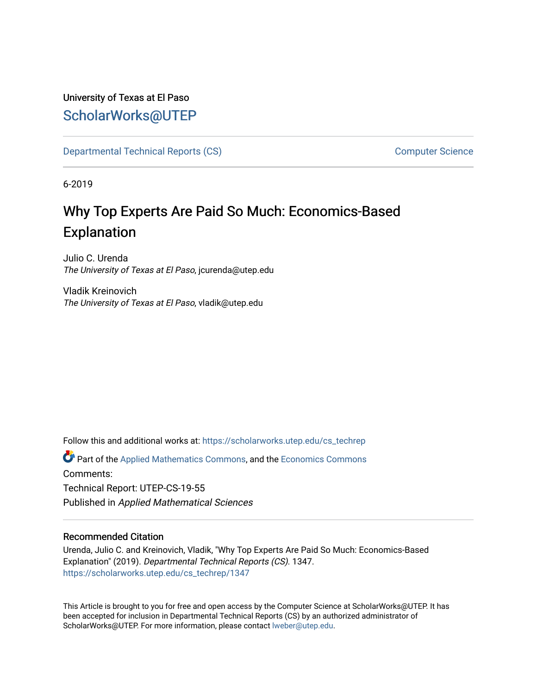## University of Texas at El Paso [ScholarWorks@UTEP](https://scholarworks.utep.edu/)

[Departmental Technical Reports \(CS\)](https://scholarworks.utep.edu/cs_techrep) [Computer Science](https://scholarworks.utep.edu/computer) 

6-2019

# Why Top Experts Are Paid So Much: Economics-Based Explanation

Julio C. Urenda The University of Texas at El Paso, jcurenda@utep.edu

Vladik Kreinovich The University of Texas at El Paso, vladik@utep.edu

Follow this and additional works at: [https://scholarworks.utep.edu/cs\\_techrep](https://scholarworks.utep.edu/cs_techrep?utm_source=scholarworks.utep.edu%2Fcs_techrep%2F1347&utm_medium=PDF&utm_campaign=PDFCoverPages) 

Part of the [Applied Mathematics Commons](http://network.bepress.com/hgg/discipline/115?utm_source=scholarworks.utep.edu%2Fcs_techrep%2F1347&utm_medium=PDF&utm_campaign=PDFCoverPages), and the [Economics Commons](http://network.bepress.com/hgg/discipline/340?utm_source=scholarworks.utep.edu%2Fcs_techrep%2F1347&utm_medium=PDF&utm_campaign=PDFCoverPages) Comments: Technical Report: UTEP-CS-19-55 Published in Applied Mathematical Sciences

### Recommended Citation

Urenda, Julio C. and Kreinovich, Vladik, "Why Top Experts Are Paid So Much: Economics-Based Explanation" (2019). Departmental Technical Reports (CS). 1347. [https://scholarworks.utep.edu/cs\\_techrep/1347](https://scholarworks.utep.edu/cs_techrep/1347?utm_source=scholarworks.utep.edu%2Fcs_techrep%2F1347&utm_medium=PDF&utm_campaign=PDFCoverPages) 

This Article is brought to you for free and open access by the Computer Science at ScholarWorks@UTEP. It has been accepted for inclusion in Departmental Technical Reports (CS) by an authorized administrator of ScholarWorks@UTEP. For more information, please contact [lweber@utep.edu](mailto:lweber@utep.edu).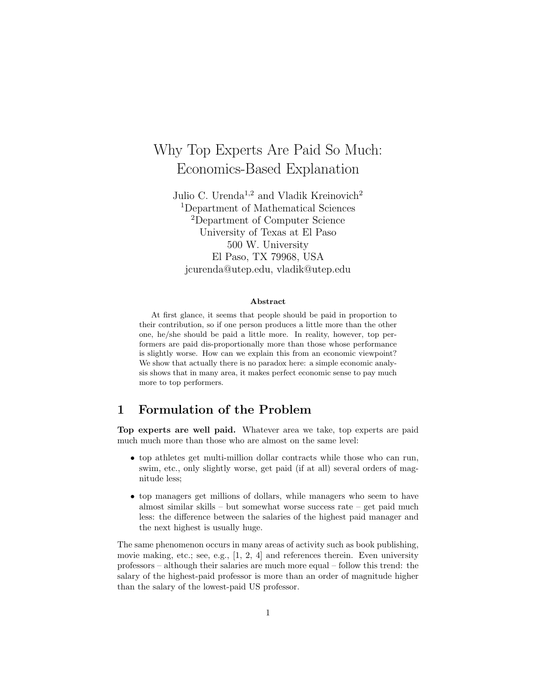## Why Top Experts Are Paid So Much: Economics-Based Explanation

Julio C. Urenda<sup>1,2</sup> and Vladik Kreinovich<sup>2</sup> <sup>1</sup>Department of Mathematical Sciences <sup>2</sup>Department of Computer Science University of Texas at El Paso 500 W. University El Paso, TX 79968, USA jcurenda@utep.edu, vladik@utep.edu

#### Abstract

At first glance, it seems that people should be paid in proportion to their contribution, so if one person produces a little more than the other one, he/she should be paid a little more. In reality, however, top performers are paid dis-proportionally more than those whose performance is slightly worse. How can we explain this from an economic viewpoint? We show that actually there is no paradox here: a simple economic analysis shows that in many area, it makes perfect economic sense to pay much more to top performers.

## 1 Formulation of the Problem

Top experts are well paid. Whatever area we take, top experts are paid much much more than those who are almost on the same level:

- top athletes get multi-million dollar contracts while those who can run, swim, etc., only slightly worse, get paid (if at all) several orders of magnitude less;
- top managers get millions of dollars, while managers who seem to have almost similar skills – but somewhat worse success rate – get paid much less: the difference between the salaries of the highest paid manager and the next highest is usually huge.

The same phenomenon occurs in many areas of activity such as book publishing, movie making, etc.; see, e.g.,  $[1, 2, 4]$  and references therein. Even university professors – although their salaries are much more equal – follow this trend: the salary of the highest-paid professor is more than an order of magnitude higher than the salary of the lowest-paid US professor.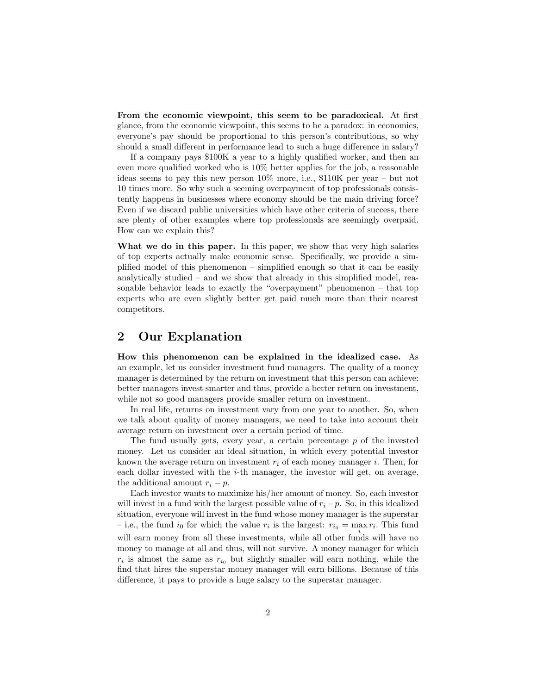From the economic viewpoint, this seem to be paradoxical. At first glance, from the economic viewpoint, this seems to be a paradox: in economics, everyone's pay should be proportional to this person's contributions, so why should a small different in performance lead to such a huge difference in salary?

If a company pays \$100K a year to a highly qualified worker, and then an even more qualified worked who is 10% better applies for the job, a reasonable ideas seems to pay this new person 10% more, i.e., \$110K per year – but not 10 times more. So why such a seeming overpayment of top professionals consistently happens in businesses where economy should be the main driving force? Even if we discard public universities which have other criteria of success, there are plenty of other examples where top professionals are seemingly overpaid. How can we explain this?

What we do in this paper. In this paper, we show that very high salaries of top experts actually make economic sense. Specifically, we provide a simplified model of this phenomenon – simplified enough so that it can be easily analytically studied – and we show that already in this simplified model, reasonable behavior leads to exactly the "overpayment" phenomenon – that top experts who are even slightly better get paid much more than their nearest competitors.

## 2 Our Explanation

How this phenomenon can be explained in the idealized case. As an example, let us consider investment fund managers. The quality of a money manager is determined by the return on investment that this person can achieve: better managers invest smarter and thus, provide a better return on investment, while not so good managers provide smaller return on investment.

In real life, returns on investment vary from one year to another. So, when we talk about quality of money managers, we need to take into account their average return on investment over a certain period of time.

The fund usually gets, every year, a certain percentage p of the invested money. Let us consider an ideal situation, in which every potential investor known the average return on investment  $r_i$  of each money manager i. Then, for each dollar invested with the  $i$ -th manager, the investor will get, on average, the additional amount  $r_i - p$ .

Each investor wants to maximize his/her amount of money. So, each investor will invest in a fund with the largest possible value of  $r_i-p$ . So, in this idealized situation, everyone will invest in the fund whose money manager is the superstar - i.e., the fund  $i_0$  for which the value  $r_i$  is the largest:  $r_{i_0} = \max_i r_i$ . This fund will earn money from all these investments, while all other funds will have no money to manage at all and thus, will not survive. A money manager for which  $r_i$  is almost the same as  $r_{i_0}$  but slightly smaller will earn nothing, while the find that hires the superstar money manager will earn billions. Because of this difference, it pays to provide a huge salary to the superstar manager.